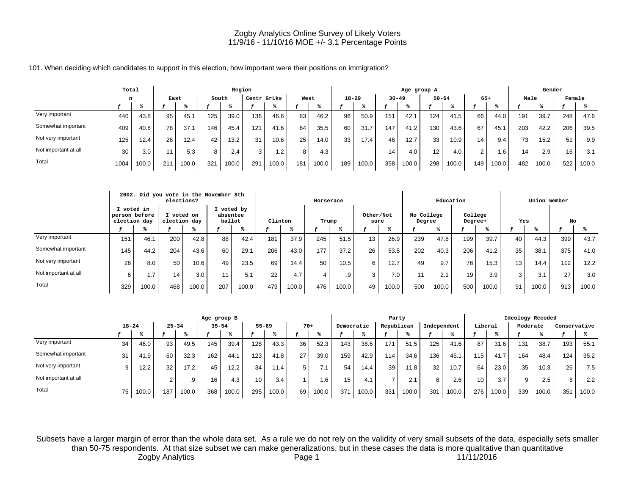101. When deciding which candidates to support in this election, how important were their positions on immigration?

|                      | Total            |       |      |       |       | Region |             |       |      |       |           |       |           | Age group A |           |       |       |                 |                 | Gender |        |       |
|----------------------|------------------|-------|------|-------|-------|--------|-------------|-------|------|-------|-----------|-------|-----------|-------------|-----------|-------|-------|-----------------|-----------------|--------|--------|-------|
|                      |                  |       | East |       | South |        | Centr GrLks |       | West |       | $18 - 29$ |       | $30 - 49$ |             | $50 - 64$ |       | $65+$ |                 | Male            |        | Female |       |
|                      |                  |       |      |       |       |        |             |       |      |       |           |       |           |             |           |       |       |                 |                 |        |        |       |
| Very important       | 440              | 43.8  | 95   | 45.7  | 125.  | 39.0   | 136         | 46.6  | 83   | 46.2  | 96        | 50.9  | 151       | 42.7        | 124       | 41.5  | 66    | 44.0            | 191             | 39.7   | 248    | 47.6  |
| Somewhat important   | 409              | 40.8  | 78   | 37.1  | 146   | 45.4   | 121         | 41.6  | 64   | 35.5  | 60        | 31.7  | 147       | 41.2        | 130       | 43.6  | 67    | 45.1            | 203             | 42.2   | 206    | 39.5  |
| Not very important   | 125 <sub>1</sub> | 12.4  | 26   | 12.4  | 42    | 13.2   | 31          | 10.6  | 25   | 14.0  | 33        | 17.4  | 46        | 12.7        | 33        | 10.9  | 14    | 9.4             | 73 <sub>1</sub> | 15.2   | 51     | 9.9   |
| Not important at all | 30               | 3.0   |      | 5.3   | 8     | 2.4    | 3           | 1.2   | 8    | 4.3   |           |       | 14        | 4.0         | 12        | 4.0   | 2     | .6 <sup>7</sup> | 14              | 2.9    | 16     | 3.1   |
| Total                | 1004             | 100.0 | 21   | 100.0 | 321   | 100.0  | 291         | 100.0 | 181  | 100.0 | 189       | 100.0 | 358       | 100.0       | 298       | 100.0 | 149   | 100.0           | 482             | 100.0  | 522    | 100.0 |

|                      |                                             |       | 2002. Did you vote in the November 8th<br>elections? |       |                                  |       |         |       | Horserace |       |                   |                  |                      | Education          |                    |       |     | Union member |     |       |
|----------------------|---------------------------------------------|-------|------------------------------------------------------|-------|----------------------------------|-------|---------|-------|-----------|-------|-------------------|------------------|----------------------|--------------------|--------------------|-------|-----|--------------|-----|-------|
|                      | I voted in<br>person before<br>election day |       | I voted on<br>election day                           |       | I voted by<br>absentee<br>ballot |       | Clinton |       | Trump     |       | Other/Not<br>sure |                  | No College<br>Degree |                    | College<br>Degree+ |       | Yes |              | No  |       |
|                      |                                             |       |                                                      |       |                                  |       |         |       |           |       |                   |                  |                      |                    |                    |       |     |              |     |       |
| Very important       | 151                                         | 46.1  | 200                                                  | 42.8  | 88                               | 42.4  | 181     | 37.9  | 245       | 51.5  | 13.               | 26.9             | 239                  | 47.8               | 199                | 39.7  | 40  | 44.3         | 399 | 43.7  |
| Somewhat important   | 145                                         | 44.2  | 204                                                  | 43.6  | 60                               | 29.1  | 206     | 43.0  | 177       | 37.2  | 26                | 53.5             | 202                  | 40.3               | 206                | 41.2  | 35  | 38.1         | 375 | 41.0  |
| Not very important   | 26                                          | 8.0   | 50                                                   | 10.6  | 49                               | 23.5  | 69      | 14.4  | 50        | 10.5  | 6                 | 12.7             | 49                   | 9.7                | 76                 | 15.3  | 13  | 14.4         | 112 | 12.2  |
| Not important at all | 6                                           | 1.7   | 14                                                   | 3.0   |                                  | 5.1   | 22      | 4.7   | 4         | .9    | 3                 | 7.0 <sub>1</sub> | 11                   | 2.1                | 19                 | 3.9   | 3   | 3.1          | 27  | 3.0   |
| Total                | 329                                         | 100.0 | 468                                                  | 100.0 | 207                              | 100.0 | 479     | 100.0 | 476       | 100.0 | 49                | 100.0            | 500                  | 100.0 <sub>1</sub> | 500                | 100.0 | 91  | 100.0        | 913 | 100.0 |

|                      |           |       |                 |       | Age group B |       |                 |                   |       |       |            |       | Party      |       |             |       |         |       | Ideology Recoded |       |              |       |
|----------------------|-----------|-------|-----------------|-------|-------------|-------|-----------------|-------------------|-------|-------|------------|-------|------------|-------|-------------|-------|---------|-------|------------------|-------|--------------|-------|
|                      | $18 - 24$ |       | $25 - 34$       |       | $35 - 54$   |       | $55 - 69$       |                   | $70+$ |       | Democratic |       | Republican |       | Independent |       | Liberal |       | Moderate         |       | Conservative |       |
|                      |           |       |                 |       |             |       |                 |                   |       |       |            |       |            |       |             |       |         |       |                  |       |              |       |
| Very important       | 34        | 46.0  | 93 <sub>1</sub> | 49.5  | 145         | 39.4  | 128             | 43.3              | 36    | 52.3  | 143.       | 38.6  | 171        | 51.5  | 125         | 41.6  | 87      | 31.6  | 131              | 38.7  | 193.         | 55.1  |
| Somewhat important   | 31        | 41.9  | 60              | 32.3  | 162         | 44.1  | 123             | 41.8              | 27    | 39.0  | 159        | 42.9  | 114        | 34.6  | 136         | 45.1  | 115.    | 41.7  | 164              | 48.4  | 124          | 35.2  |
| Not very important   | 9         | 12.2  | 32              | 17.2  | 45          | 12.2  | 34              | 11.4 <sub>1</sub> |       | 7.1   | 54         | 14.4  | 39         | 11.8  | 32          | 10.7  | 64      | 23.0  | 35               | 10.3  | 26           | 7.5   |
| Not important at all |           |       |                 | .9    | 16          | 4.3   | 10 <sub>1</sub> | 3.4               |       | 1.6   | 15         | 4.1   |            | 2.1   | 8           | 2.6   | 10      | 3.7   |                  | 2.5   | 8            | 2.2   |
| Total                | 75        | 100.0 | 187             | 100.0 | 368         | 100.0 | 295             | 100.0             | 69    | 100.0 | 371        | 100.0 | 331        | 100.0 | 301         | 100.0 | 276     | 100.0 | 339              | 100.0 | 351          | 100.0 |

Subsets have a larger margin of error than the whole data set. As a rule we do not rely on the validity of very small subsets of the data, especially sets smaller than 50-75 respondents. At that size subset we can make generalizations, but in these cases the data is more qualitative than quantitative Zogby Analytics **Page 1** Page 1 11/11/2016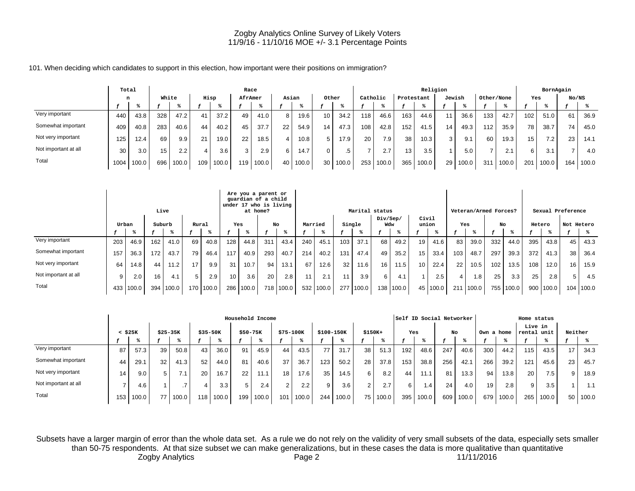101. When deciding which candidates to support in this election, how important were their positions on immigration?

|                      | Total |       |       |               |      |       | Race            |       |         |       |                 |       |          |                  |            | Religion |        |      |            |       |     | BornAgain |       |       |
|----------------------|-------|-------|-------|---------------|------|-------|-----------------|-------|---------|-------|-----------------|-------|----------|------------------|------------|----------|--------|------|------------|-------|-----|-----------|-------|-------|
|                      | n     |       | White |               | Hisp |       | AfrAmer         |       |         | Asian | Other           |       | Catholic |                  | Protestant |          | Jewish |      | Other/None |       | Yes |           | No/NS |       |
|                      |       |       |       |               |      |       |                 |       |         |       |                 |       |          |                  |            |          |        |      |            |       |     |           |       |       |
| Very important       | 440   | 43.8  | 328   | 47.2          | 41   | 37.2  | 49              | 41.0  | $\circ$ | 19.6  | 10 <sup>°</sup> | 34.2  | 118      | 46.6             | 163        | 44.6     | 11     | 36.6 | 133        | 42.7  | 102 | 51.0      | 61    | 36.9  |
| Somewhat important   | 409   | 40.8  | 283   | 40.6          | 44   | 40.2  | 45              | 37.7  | 22      | 54.9  | 14              | 47.3  | 108      | 42.8             | 152        | 41.5     | 14.    | 49.3 | 112        | 35.9  | 78  | 38.7      | 74    | 45.0  |
| Not very important   | 125   | 12.4  | 69    | 9.9           | 21   | 19.0  | 22              | 18.5  |         | 10.8  | 5               | 17.9  | 20       | 7.9 <sub>1</sub> | 38         | 10.3     | 3      | 9.1  | 60         | 19.3  | 15  | 7.2       | 23    | 14.1  |
| Not important at all | 30    | 3.0   | 15    | $2.2^{\circ}$ | 4    | 3.6   | 3               | 2.9   |         | 14.7  |                 | .5 '  |          |                  | 13.        | 3.5      |        | 5.0  |            | 2.1   | 6   | 3.1       |       | 4.0   |
| Total                | 1004  | 100.0 | 696   | 100.0         | 109  | 100.0 | 19 <sup>1</sup> | 100.0 | 40      | 100.0 | 30 <sub>1</sub> | 100.0 | 253      | 100.0            | 365        | 100.0    | 29 I   | 00.0 | 311        | 100.0 | 201 | 100.0     | 164.  | 100.0 |

|                      |     |       |     | Live   |       |       |                  | Are you a parent or<br>guardian of a child<br>under 17 who is living<br>at home? |     |       |         |       |     | Marital status |                 |       |                |                  |     | Veteran/Armed Forces? |     |       |        |       | Sexual Preference |       |
|----------------------|-----|-------|-----|--------|-------|-------|------------------|----------------------------------------------------------------------------------|-----|-------|---------|-------|-----|----------------|-----------------|-------|----------------|------------------|-----|-----------------------|-----|-------|--------|-------|-------------------|-------|
|                      |     | Urban |     | Suburb | Rural |       | Yes              |                                                                                  |     | No    | Married |       |     | Single         | Div/Sep/<br>Wdw |       | Civil<br>union |                  | Yes |                       | No  |       | Hetero |       | Not Hetero        |       |
|                      |     |       |     |        |       |       |                  |                                                                                  |     |       |         |       |     |                |                 |       |                |                  |     |                       |     |       |        |       |                   |       |
| Very important       | 203 | 46.9  | 162 | 41.0   | 69    | 40.8  | 128              | 44.8                                                                             | 311 | 43.4  | 240     | 45.1  | 103 | 37.1           | 68              | 49.2  | 19             | 41.6             | 83  | 39.0                  | 332 | 44.0  | 395    | 43.8  | 45                | 43.3  |
| Somewhat important   | 157 | 36.3  | 172 | 43.7   | 79    | 46.4  | 117              | 40.9                                                                             | 293 | 40.7  | 214     | 40.2  | 131 | 47.4           | 49              | 35.2  | 15             | 33.4             | 103 | 48.7                  | 297 | 39.3  | 372    | 41.3  | 38                | 36.4  |
| Not very important   | 64  | 14.8  | 44  | 11.2   | 17    | 9.9   | 31               | 10.7                                                                             | 94  | 13.1  | 67      | 12.6  | 32  | 11.6           | 16              | 11.5  | 10             | 22.4             | 22  | 10.5                  | 102 | 13.5  | 108    | 12.0  | 16                | 15.9  |
| Not important at all | 9   | 2.0   | 16  | 4.1    | 5     | 2.9   | 10 <sup>10</sup> | 3.6                                                                              | 20  | 2.8   | 11      | 2.1   | 11  | 3.9            | 6 <sup>1</sup>  | 4.1   |                | 2.5 <sub>1</sub> |     | $^{\circ}$ .8         | 25  | 3.3   | 25     | 2.8   |                   | 4.5   |
| Total                | 433 | 100.0 | 394 | 100.0  | 170   | 100.0 | 286              | 100.0                                                                            | 718 | 100.0 | 532     | 100.0 | 277 | 100.0          | 138             | 100.0 | 45             | 100.0            | 211 | 100.0                 | 755 | 100.0 | 900    | 100.0 | 104               | 100.0 |

|                      |              |       |           |       |             |       |          | Household Income |           |               |            |       |          |       |     | Self ID Social Networker |     |                   |            |       | Home status            |       |                 |       |
|----------------------|--------------|-------|-----------|-------|-------------|-------|----------|------------------|-----------|---------------|------------|-------|----------|-------|-----|--------------------------|-----|-------------------|------------|-------|------------------------|-------|-----------------|-------|
|                      | $<$ \$25 $K$ |       | $$25-35K$ |       | $$35 - 50K$ |       | \$50-75K |                  | \$75-100K |               | \$100-150K |       | $$150K+$ |       | Yes |                          | No  |                   | Own a home |       | Live in<br>rental unit |       | Neither         |       |
|                      |              |       |           |       |             |       |          |                  |           |               |            |       |          |       |     |                          |     |                   |            |       |                        |       |                 |       |
| Very important       | 87           | 57.3  | 39        | 50.8  | 43          | 36.0  | 91       | 45.9             | 44        | 43.5          | 77         | 31.7  | 38       | 51.3  | 192 | 48.6                     | 247 | 40.6              | 300        | 44.2  | 115                    | 43.5  | 17              | 34.3  |
| Somewhat important   | 44           | 29.1  | 32        | 41.3  | 52          | 44.0  | 81       | 40.6             | 37        | 36.7          | 123        | 50.2  | 28       | 37.8  | 153 | 38.8                     | 256 | 42.1              | 266        | 39.2  | 121                    | 45.6  | 231             | 45.7  |
| Not very important   | 14.          | 9.0   |           | 7.1   | 20          | 16.7  | 22       | 11.1             | 18        | 17.6          | 35         | 14.5  | 6        | 8.2   | 44  | 11.1                     | 81  | 13.3 <sub>1</sub> | 94         | 13.8  | 20                     | 7.5   | 9               | 18.9  |
| Not important at all |              | 4.6   |           |       | 4           | 3.3   |          | 2.4              | $\sim$    | $2.2^{\circ}$ | 9          | 3.6   |          | 2.7   | 6   | 1.4                      | 24  | 4.0               | 19         | 2.8   | 9                      | 3.5   |                 | 1.1   |
| Total                | 153          | 100.0 |           | 100.0 | 118         | 100.0 | 199      | 100.0            | 101       | 100.0         | 244        | 100.0 | 75 I     | 100.0 | 395 | 100.0                    | 609 | 100.0             | 679        | 100.0 | 265                    | 100.0 | 50 <sub>1</sub> | 100.0 |

Subsets have a larger margin of error than the whole data set. As a rule we do not rely on the validity of very small subsets of the data, especially sets smaller than 50-75 respondents. At that size subset we can make generalizations, but in these cases the data is more qualitative than quantitative Zogby Analytics **Page 2** Page 2 11/11/2016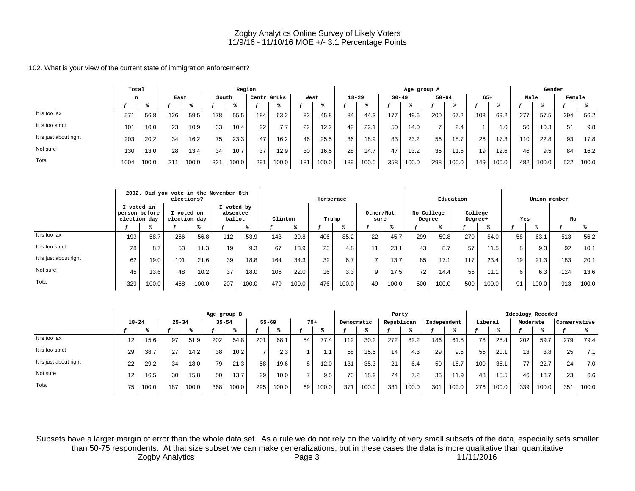102. What is your view of the current state of immigration enforcement?

|                        | Total |       |                 |       |       | Region |             |       |      |       |           |       |           | Age group A |           |       |       |       |      | Gender |        |       |
|------------------------|-------|-------|-----------------|-------|-------|--------|-------------|-------|------|-------|-----------|-------|-----------|-------------|-----------|-------|-------|-------|------|--------|--------|-------|
|                        | n     |       | East            |       | South |        | Centr GrLks |       | West |       | $18 - 29$ |       | $30 - 49$ |             | $50 - 64$ |       | $65+$ |       | Male |        | Female |       |
|                        |       |       |                 |       |       |        |             |       |      |       |           |       |           |             |           |       |       |       |      |        |        |       |
| It is too lax          | 571   | 56.8  | 126             | 59.5  | 178   | 55.5   | 184         | 63.2  | 83   | 45.8  | 84        | 44.3  | 177       | 49.6        | 200       | 67.2  | 103   | 69.2  | 277  | 57.5   | 294    | 56.2  |
| It is too strict       | 101   | 10.0  | 23              | 10.9  | 33    | 10.4   | 22          | 7.7   | 22   | 12.2  | 42        | 22.7  | 50        | 14.0        |           | 2.4   |       | 1.0.  | 50   | 10.3   | 51     | 9.8   |
| It is just about right | 203   | 20.2  | 34              | 16.2  | 75    | 23.3   | 47          | 16.2  | 46   | 25.5  | 36        | 18.9  | 83        | 23.2        | 56        | 18.7  | 26    | 17.3  | 110  | 22.8   | 93     | 17.8  |
| Not sure               | 130   | 13.0  | 28              | 13.4  | 34    | 10.7   | 37          | 12.9  | 30   | 16.5  | 28        | 14.7  | 47        | 13.2        | 35        | 11.6  | 19    | 12.6  | 46   | 9.5    | 84     | 16.2  |
| Total                  | 1004  | 100.0 | 21 <sup>1</sup> | 100.0 | 321   | 100.0  | 291         | 100.0 | 181  | 100.0 | 189       | 100.0 | 358       | 100.0       | 298       | 100.0 | 149   | 100.0 | 482  | 100.0  | 522    | 100.0 |

|                        |                                             |       | elections?   |          | 2002. Did you vote in the November 8th |       |         |       | Horserace |       |                   |       |                      | Education |                    |       |     | Union member |     |       |
|------------------------|---------------------------------------------|-------|--------------|----------|----------------------------------------|-------|---------|-------|-----------|-------|-------------------|-------|----------------------|-----------|--------------------|-------|-----|--------------|-----|-------|
|                        | I voted in<br>person before<br>election day |       | election day | voted on | I voted by<br>absentee<br>ballot       |       | Clinton |       | Trump     |       | Other/Not<br>sure |       | No College<br>Degree |           | College<br>Degree+ |       | Yes |              | No  |       |
|                        |                                             |       |              |          |                                        |       |         |       |           |       |                   |       |                      |           |                    |       |     |              |     |       |
| It is too lax          | 193                                         | 58.7  | 266          | 56.8     | 112                                    | 53.9  | 143     | 29.8  | 406       | 85.2  | 22                | 45.7  | 299                  | 59.8      | 270                | 54.0  | 58  | 63.1         | 513 | 56.2  |
| It is too strict       | 28                                          | 8.7   | 53           | 11.3     | 19                                     | 9.3   | 67      | 13.9  | 23        | 4.8   | 11                | 23.1  | 43                   | 8.7       | 57                 | 11.5  | 8   | 9.3          | 92  | 10.1  |
| It is just about right | 62                                          | 19.0  | 101          | 21.6     | 39                                     | 18.8  | 164     | 34.3  | 32        | 6.7   |                   | 13.7  | 85                   | 17.1      | 117                | 23.4  | 19  | 21.3         | 183 | 20.1  |
| Not sure               | 45                                          | 13.6  | 48           | 10.2     | 37                                     | 18.0  | 106     | 22.0  | 16        | 3.3   | 9                 | 17.5  | 72                   | 14.4      | 56                 | 11.1  | 6   | 6.3          | 124 | 13.6  |
| Total                  | 329                                         | 100.0 | 468          | 100.0    | 207                                    | 100.0 | 479     | 100.0 | 476       | 100.0 | 49                | 100.0 | 500                  | 100.0     | 500                | 100.0 | 91  | 100.0        | 913 | 100.0 |

|                        |                 |       |           |       | Age group B |       |                |       |       |       |            |       | Party      |       |             |       |         |       |          | Ideology Recoded |              |       |
|------------------------|-----------------|-------|-----------|-------|-------------|-------|----------------|-------|-------|-------|------------|-------|------------|-------|-------------|-------|---------|-------|----------|------------------|--------------|-------|
|                        | $18 - 24$       |       | $25 - 34$ |       | $35 - 54$   |       | $55 - 69$      |       | $70+$ |       | Democratic |       | Republican |       | Independent |       | Liberal |       | Moderate |                  | Conservative |       |
|                        |                 |       |           |       |             |       |                |       |       |       |            |       |            |       |             |       |         |       |          |                  |              |       |
| It is too lax          | 12 <sup>2</sup> | 15.6  | 97        | 51.9  | 202         | 54.8  | 201            | 68.   | 54    | 77.4  | 112        | 30.2  | 272        | 82.2  | 186         | 61.8  | 78      | 28.4  | 202      | 59.7             | 279          | 79.4  |
| It is too strict       | 29              | 38.7  | 27        | 14.2  | 38          | 10.2  | $\overline{ }$ | 2.3   |       |       | 58         | 15.5  | 14         | 4.3   | 29          | 9.6   | 55      | 20.1  | 13       | 3.8              | 25           | 7.1   |
| It is just about right | 22              | 29.2  | 34        | 18.0  | 79          | 21.3  | 58             | 19.6  | 8     | 12.0  | 131        | 35.3  | 21         | 6.4   | 50          | 16.7  | 100     | 36.1  | 77       | 22.7             | 24           | 7.0   |
| Not sure               | 12              | 16.5  | 30        | 15.8  | 50          | 13.7  | 29             | 10.0  |       | 9.5   | 70         | 18.9  | 24         | 7.2   | 36          | 11.9  | 43      | 15.5  | 46       | 13.7             | 23           | 6.6   |
| Total                  | 75              | 100.0 | 187       | 100.0 | 368         | 100.0 | 295            | 100.0 | 69    | 100.0 | 37'        | 100.0 | 331        | 100.0 | 301         | 100.0 | 276     | 100.0 | 339      | 100.0            | 351          | 100.0 |

Subsets have a larger margin of error than the whole data set. As a rule we do not rely on the validity of very small subsets of the data, especially sets smaller than 50-75 respondents. At that size subset we can make generalizations, but in these cases the data is more qualitative than quantitative Zogby Analytics **Page 3** Page 3 11/11/2016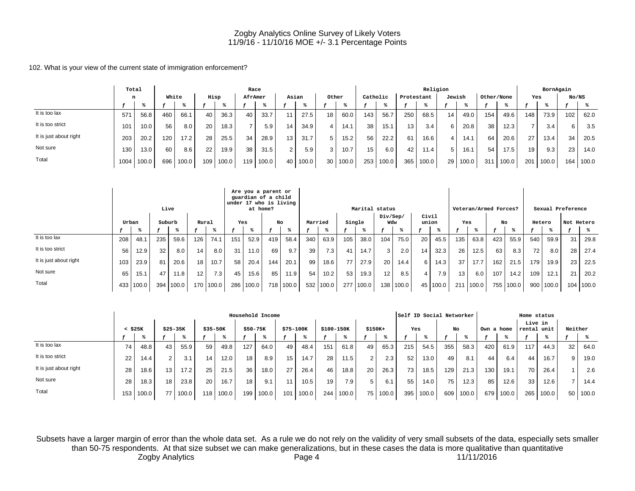102. What is your view of the current state of immigration enforcement?

|                        | Total |       |       |       |      |       |         | Race |                 |       |       |       |          |       |            | Religion |        |       |            |       |     | BornAgain |       |       |
|------------------------|-------|-------|-------|-------|------|-------|---------|------|-----------------|-------|-------|-------|----------|-------|------------|----------|--------|-------|------------|-------|-----|-----------|-------|-------|
|                        | n     |       | White |       | Hisp |       | AfrAmer |      |                 | Asian | Other |       | Catholic |       | Protestant |          | Jewish |       | Other/None |       | Yes |           | No/NS |       |
|                        |       |       |       |       |      |       |         |      |                 |       |       |       |          |       |            |          |        |       |            |       |     |           |       |       |
| It is too lax          | 571   | 56.8  | 460   | 66.1  | 40   | 36.3  | 40      | 33.7 | 11.             | 27.5  | 18    | 60.0  | 143      | 56.7  | 250        | 68.5     | 14     | 49.0  | 154        | 49.6  | 148 | 73.9      | 102   | 62.0  |
| It is too strict       | 101   | 10.0  | 56    | 8.0   | 20   | 18.3  |         | 5.9  | 14 <sub>1</sub> | 34.9  |       | 14.1  | 38       | 15.1  | 13,        | 3.4      | 6      | 20.8  | 38         | 12.3  |     | 3.4       | 6     | 3.5   |
| It is just about right | 203   | 20.2  | 120   | 17.2  | 28   | 25.5  | 34      | 28.9 | 13 <sup>1</sup> | 31.7  |       | 15.2  | 56       | 22.2  | 61         | 16.6     |        | 14.1  | 64         | 20.6  | 27  | 13.4      | 34    | 20.5  |
| Not sure               | 130   | 13.0  | 60    | 8.6   | 22   | 19.9  | 38      | 31.5 | $\overline{2}$  | 5.9   | 3     | 10.7  | 15       | 6.0   | 42         | 11.4     |        | 16.1  | 54         | 17.5  | 19  | 9.3       | 23    | 14.0  |
| Total                  | 1004  | 100.0 | 696   | 100.0 | 109  | 100.0 | 119     | 0.00 | 40 L            | 100.0 | 30    | 100.0 | 253      | 100.0 | 365        | 100.0    | 29     | 100.0 | 311        | 100.0 | 201 | 100.0     | 164   | 100.0 |

|                        |       |           | Live   |       |                  |             |     | Are you a parent or<br>guardian of a child<br>under 17 who is living<br>at home? |      |           |             |                   |                 | Marital status |                 |           |                |            |     | Veteran/Armed Forces? |     |       |        |               | Sexual Preference |       |
|------------------------|-------|-----------|--------|-------|------------------|-------------|-----|----------------------------------------------------------------------------------|------|-----------|-------------|-------------------|-----------------|----------------|-----------------|-----------|----------------|------------|-----|-----------------------|-----|-------|--------|---------------|-------------------|-------|
|                        | Urban |           | Suburb |       |                  | Rural       | Yes |                                                                                  |      | No        | Married     |                   | Single          |                | Div/Sep/<br>Wdw |           | Civil<br>union |            | Yes |                       | No  |       | Hetero |               | Not Hetero        |       |
|                        |       |           |        |       |                  |             |     |                                                                                  |      |           |             |                   |                 |                |                 |           |                |            |     |                       |     |       |        |               |                   |       |
| It is too lax          | 208   | 48.1      | 235    | 59.6  | 126 <sub>1</sub> | 74.1        | 151 | 52.9                                                                             | 419  | 58.4      | $340 \vert$ | 63.9              | 105             | 38.0           | 104             | 75.0      | 20             | 45.5       | 135 | 63.8                  | 423 | 55.9  | 540    | 59.9          | 31                | 29.8  |
| It is too strict       | 56    | 12.9      | 32     | 8.0   | 14               | 8.0         | 31  | 11.0                                                                             | 69   | 9.7       | 39          | 7.3               | -41             | 14.7           | $\overline{3}$  | 2.0       | 14             | 32.3       | 26  | 12.5                  | 63  | 8.3   | 72     | 8.0           | 28                | 27.4  |
| It is just about right | 103   | 23.9      | 81     | 20.6  | 18               | 10.7        | 58  | 20.4                                                                             | 1441 | 20.1      | 99          | 18.6              | 77 <sub>1</sub> | 27.9           | 20              | 14.4      | 6              | 14.3       | 37  | 17.7                  | 162 | 21.5  | 179    | 19.9          | 23                | 22.5  |
| Not sure               | 65    | 15.1      | 47     | 11.8  | 12 <sub>1</sub>  | 7.3         | 45  | 15.6                                                                             | 85   | 11.9      | 54          | 10.2 <sub>1</sub> | 53              | 19.3           | 12 <sub>1</sub> | 8.5       |                | 7.9        | 13  | 6.0                   | 107 | 14.2  | 109    | 12.1          | 21                | 20.2  |
| Total                  |       | 433 100.0 | 394    | 100.0 |                  | 170   100.0 |     | 286 100.0                                                                        |      | 718 100.0 |             | 532 100.0         | 277             | 100.0          |                 | 138 100.0 |                | 45   100.0 |     | 211 100.0             | 755 | 100.0 |        | $900$   100.0 | 104               | 100.0 |

|                        |              |       |           |       |                  |       |                 | Household Income |                 |       |            |       |          |       |     | Self ID Social Networker |     |       |            |       | Home status       |       |                 |       |
|------------------------|--------------|-------|-----------|-------|------------------|-------|-----------------|------------------|-----------------|-------|------------|-------|----------|-------|-----|--------------------------|-----|-------|------------|-------|-------------------|-------|-----------------|-------|
|                        | $<$ \$25 $K$ |       | $$25-35K$ |       | $$35-50K$        |       | $$50-75K$       |                  | \$75-100K       |       | \$100-150K |       | $$150K+$ |       | Yes |                          | No  |       | Own a home |       | Live in<br>rental | unit  | Neither         |       |
|                        |              |       |           |       |                  |       |                 |                  |                 |       |            |       |          |       |     |                          |     |       |            |       |                   |       |                 |       |
| It is too lax          | 74           | 48.8  | 43        | 55.9  | 59               | 49.8  | 127             | 64.0             | 49              | 48.4  | 151        | 61.8  | 49       | 65.3  | 215 | 54.5                     | 355 | 58.3  | 420        | 61.9  | 117               | 44.3  | 32              | 64.0  |
| It is too strict       | 22           | 14.4  | 2         | 3.1   | 14.              | 12.0  | 18 <sup>1</sup> | 8.9              | 15 <sub>1</sub> | 14.7  | 28         | 11.5  |          | 2.3   | 52  | 13.0                     | 49  | 8.1   | 44         | 6.4   | 44                | 16.7  | 9               | 19.0  |
| It is just about right | 28           | 18.6  | 13        | 17.2  | 25               | 21.5  | 36              | 18.0             | 27              | 26.4  | 46         | 18.8  | 20       | 26.3  | 73, | 18.5                     | 129 | 21.3  | 130        | 19.1  | 70 l              | 26.4  |                 | 2.6   |
| Not sure               | 28           | 18.3  | 18        | 23.8  | 20               | 16.7  | 18.             | 9.1              |                 | 10.5  | 19         | 7.9   |          | 6.1   | 55  | 14.0                     | 75  | 12.3  | 85         | 12.6  | 331               | 12.6  | -               | 14.4  |
| Total                  | 153          | 100.0 | 77        | 100.0 | 118 <sup>1</sup> | 100.0 | 199             | 100.0            | 101             | 100.0 | 244        | 100.0 | 75       | 100.0 | 395 | 100.0                    | 609 | 100.0 | 679        | 100.0 | 265               | 100.0 | 50 <sub>1</sub> | 100.0 |

Subsets have a larger margin of error than the whole data set. As a rule we do not rely on the validity of very small subsets of the data, especially sets smaller than 50-75 respondents. At that size subset we can make generalizations, but in these cases the data is more qualitative than quantitative Zogby Analytics **Page 4** 2008 Page 4 11/11/2016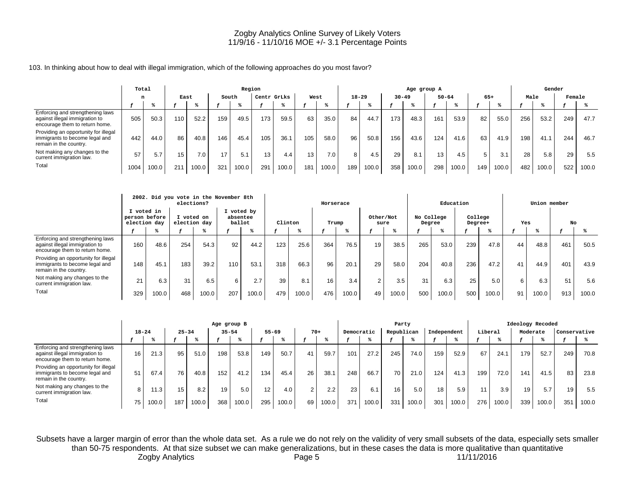#### 103. In thinking about how to deal with illegal immigration, which of the following approaches do you most favor?

|                                                                                                      | Total |       |                 |       |       | Region |                 |       |                 |                  |           |       |           | Age group A |                 |           |       |       |      | Gender |        |       |
|------------------------------------------------------------------------------------------------------|-------|-------|-----------------|-------|-------|--------|-----------------|-------|-----------------|------------------|-----------|-------|-----------|-------------|-----------------|-----------|-------|-------|------|--------|--------|-------|
|                                                                                                      | n     |       | East            |       | South |        | Centr GrLks     |       | West            |                  | $18 - 29$ |       | $30 - 49$ |             |                 | $50 - 64$ | $65+$ |       | Male |        | Female |       |
|                                                                                                      |       |       |                 |       |       |        |                 |       |                 |                  |           |       |           |             |                 |           |       |       |      |        |        |       |
| Enforcing and strengthening laws<br>against illegal immigration to<br>encourage them to return home. | 505   | 50.3  | 110             | 52.2  | 159   | 49.5   | 173             | 59.5  | 63              | 35.0             | 84        | 44.7  | 173       | 48.3        | 161             | 53.9      | 82    | 55.0  | 256  | 53.2   | 249    | 47.7  |
| Providing an opportunity for illegal<br>immigrants to become legal and<br>remain in the country.     | 442   | 44.0  | 86              | 40.8  | 146   | 45.4   | 105             | 36.1  | 105             | 58.0             | 96        | 50.8  | 156       | 43.6        | 124             | 41.6      | 63    | 41.9  | 198  | 41.1   | 244    | 46.7  |
| Not making any changes to the<br>current immigration law.                                            | 57    | 5.7   | 15 <sub>1</sub> | 7.0   | 17    | 5.1    | 13 <sub>1</sub> | 4.4   | 13 <sub>1</sub> | 7.0 <sub>1</sub> | 8         | 4.5   | 29        | 8.1         | 13 <sub>1</sub> | 4.5       |       | 3.1   | 28   | 5.8    | 29     | 5.5   |
| Total                                                                                                | 1004  | 100.0 | 211             | 100.0 | 321   | 100.0  | 291             | 100.0 | 181             | 100.0            | 189       | 100.0 | 358       | 100.0       | 298             | 100.0     | 149   | 100.0 | 482  | 100.0  | 522    | 100.0 |

|                                                                                                      |                                             |       | 2002. Did you vote in the November 8th<br>elections? |       |                    |            |     |         | Horserace |       |                   |       |                      | Education |                    |       |     | Union member |     |       |
|------------------------------------------------------------------------------------------------------|---------------------------------------------|-------|------------------------------------------------------|-------|--------------------|------------|-----|---------|-----------|-------|-------------------|-------|----------------------|-----------|--------------------|-------|-----|--------------|-----|-------|
|                                                                                                      | I voted in<br>person before<br>election day |       | I voted on<br>election day                           |       | absentee<br>ballot | I voted by |     | Clinton | Trump     |       | Other/Not<br>sure |       | No College<br>Degree |           | College<br>Degree+ |       | Yes |              | No  |       |
|                                                                                                      |                                             |       |                                                      |       |                    |            |     |         |           |       |                   |       |                      |           |                    |       |     |              |     |       |
| Enforcing and strengthening laws<br>against illegal immigration to<br>encourage them to return home. | 160                                         | 48.6  | 254                                                  | 54.3  | 92                 | 44.2       | 123 | 25.6    | 364       | 76.5  | 19                | 38.5  | 265                  | 53.0      | 239                | 47.8  | 44  | 48.8         | 461 | 50.5  |
| Providing an opportunity for illegal<br>immigrants to become legal and<br>remain in the country.     | 148                                         | 45.1  | 183                                                  | 39.2  | 110                | 53.1       | 318 | 66.3    | 96        | 20.1  | 29                | 58.0  | 204                  | 40.8      | 236                | 47.2  | 41  | 44.9         | 401 | 43.9  |
| Not making any changes to the<br>current immigration law.                                            | 21                                          | 6.3   | 31                                                   | 6.5   | 6                  | 2.7        | 39  | 8.1     | 16        | 3.4   | $\sim$            | 3.5   | 31                   | 6.3       | 25                 | 5.0   | 6.  | 6.3          | 51  | 5.6   |
| Total                                                                                                | 329                                         | 100.0 | 468                                                  | 100.0 | 207                | 100.0      | 479 | 100.0   | 476       | 100.0 | 49                | 100.0 | 500                  | 100.0     | 500                | 100.0 | 91  | 100.0        | 913 | 100.0 |

|                                                                                                      |           |       |           |       | Age group B |       |           |       |       |       |            |       | Party      |       |             |       |         |       |          | Ideology Recoded |              |       |
|------------------------------------------------------------------------------------------------------|-----------|-------|-----------|-------|-------------|-------|-----------|-------|-------|-------|------------|-------|------------|-------|-------------|-------|---------|-------|----------|------------------|--------------|-------|
|                                                                                                      | $18 - 24$ |       | $25 - 34$ |       | $35 - 54$   |       | $55 - 69$ |       | $70+$ |       | Democratic |       | Republican |       | Independent |       | Liberal |       | Moderate |                  | Conservative |       |
|                                                                                                      |           |       |           |       |             |       |           |       |       |       |            |       |            |       |             |       |         |       |          |                  |              |       |
| Enforcing and strengthening laws<br>against illegal immigration to<br>encourage them to return home. | 16        | 21.3  | 95        | 51.0  | 198         | 53.8  | 149       | 50.7  | 41    | 59.7  | 101        | 27.2  | 245        | 74.0  | 159         | 52.9  | 67      | 24.1  | 179      | 52.7             | 249          | 70.8  |
| Providing an opportunity for illegal<br>immigrants to become legal and<br>remain in the country.     | 51        | 67.4  | 76        | 40.8  | 152         | 41.2  | 134       | 45.4  | 26    | 38.1  | 248        | 66.7  | 70         | 21.0  | 124         | 41.3  | 199     | 72.0  | 141      | 41.5             | 83           | 23.8  |
| Not making any changes to the<br>current immigration law.                                            |           | 11.3  | 15        | 8.2   | 19          | 5.0   | 12        | 4.0   |       | 2.2   | 23         | 6.1   | 16         | 5.0   | 18          | 5.9   |         | 3.9   | 19       | 5.7              | 19           | 5.5   |
| Total                                                                                                | 75        | 100.0 | 187       | 100.0 | 368         | 100.0 | 295       | 100.0 | 69    | 100.0 | 371        | 100.0 | 331        | 100.0 | 301         | 100.0 | 276     | 100.0 | 339      | 100.0            | 351          | 100.0 |

Subsets have a larger margin of error than the whole data set. As a rule we do not rely on the validity of very small subsets of the data, especially sets smaller than 50-75 respondents. At that size subset we can make generalizations, but in these cases the data is more qualitative than quantitative Zogby Analytics **Page 5** Page 5 11/11/2016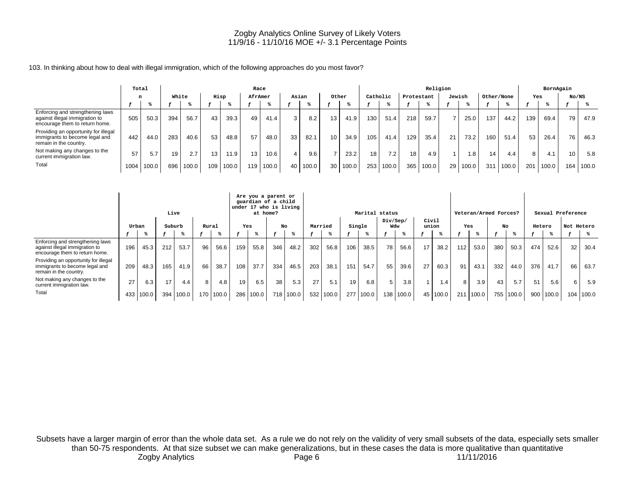#### 103. In thinking about how to deal with illegal immigration, which of the following approaches do you most favor?

|                                                                                                      | Total |       |       |       |                 |       |         | Race  |       |       |       |       |     |          |            | Religion |        |       |            |       |     | BornAgain |       |       |
|------------------------------------------------------------------------------------------------------|-------|-------|-------|-------|-----------------|-------|---------|-------|-------|-------|-------|-------|-----|----------|------------|----------|--------|-------|------------|-------|-----|-----------|-------|-------|
|                                                                                                      |       | n     | White |       | Hisp            |       | AfrAmer |       | Asian |       | Other |       |     | Catholic | Protestant |          | Jewish |       | Other/None |       | Yes |           | No/NS |       |
|                                                                                                      |       |       |       |       |                 |       |         |       |       |       |       |       |     |          |            |          |        |       |            |       |     |           |       |       |
| Enforcing and strengthening laws<br>against illegal immigration to<br>encourage them to return home. | 505   | 50.3  | 394   | 56.7  | 43              | 39.3  | 49      | 41.4  |       | 8.2   | 13.   | 41.9  | 130 | 51.4     | 218        | 59.7     |        | 25.0  | 137        | 44.2  | 139 | 69.4      | 79    | 47.9  |
| Providing an opportunity for illegal<br>immigrants to become legal and<br>remain in the country.     | 442   | 44.0  | 283   | 40.6  | 53              | 48.8  | 57      | 48.0  | 33    | 82.1  | 10    | 34.9  | 105 | 41.4     | 129        | 35.4     | 21     | 73.2  | 160        | 51.4  | 53  | 26.4      | 76    | 46.3  |
| Not making any changes to the<br>current immigration law.                                            | 57    | 5.7   | 19    | 2.7   | 13 <sub>1</sub> | 11.9  | 13      | 10.6  |       | 9.6   |       | 23.2  | 18  | 7.2      | 18         | 4.9      |        | 8. l  | 14         | 4.4   | 8   | 4.1       | 10    | 5.8   |
| Total                                                                                                | 1004  | 100.0 | 696   | 100.0 | 109             | 100.0 | 119     | 100.0 | 40    | 100.0 | 30    | 100.0 | 253 | 100.0    | 365        | 100.0    | 29     | 100.0 | 31'        | 100.0 | 201 | 100.0     | 164   | 100.0 |

|                                                                                                      |       |       |        | Live      |       |       |     | Are you a parent or<br>guardian of a child<br>under 17 who is living<br>at home? |     |       |         |       |        | Marital status |          |           |                |            |     | Veteran/Armed Forces? |     |       |        |       | Sexual Preference |       |
|------------------------------------------------------------------------------------------------------|-------|-------|--------|-----------|-------|-------|-----|----------------------------------------------------------------------------------|-----|-------|---------|-------|--------|----------------|----------|-----------|----------------|------------|-----|-----------------------|-----|-------|--------|-------|-------------------|-------|
|                                                                                                      |       | Urban | Suburb |           | Rural |       | Yes |                                                                                  |     | No    | Married |       | Single |                | Div/Sep/ | Wdw       | Civil<br>union |            | Yes |                       | No  |       | Hetero |       | Not Hetero        |       |
|                                                                                                      |       |       |        |           |       |       |     |                                                                                  |     |       |         |       |        |                |          |           |                |            |     |                       |     |       |        |       |                   |       |
| Enforcing and strengthening laws<br>against illegal immigration to<br>encourage them to return home. | 196 l | 45.3  | 212    | 53.7      | 96    | 56.6  | 159 | 55.8                                                                             | 346 | 48.2  | 302     | 56.8  | 106    | 38.5           | 78       | 56.6      | 17             | 38.2       | 112 | 53.0                  | 380 | 50.3  | 474    | 52.6  | 32                | 30.4  |
| Providing an opportunity for illegal<br>immigrants to become legal and<br>remain in the country.     | 209   | 48.3  | 165    | 41.9      | 66    | 38.7  | 108 | 37.7                                                                             | 334 | 46.5  | 203     | 38.1  | 151    | 54.7           | 55       | 39.6      | 27             | 60.3       | 91  | 43.1                  | 332 | 44.0  | 376    | 41.7  | 66                | 63.7  |
| Not making any changes to the<br>current immigration law.                                            | 27    | 6.3   | 17     | 4.4       | 8     | 4.8   | 19  | 6.5                                                                              | 38  | 5.3   | 27      | 5.1   | 19     | 6.8            | 5        | 3.8       |                | 1.4        | 8   | 3.9                   | 43  | 5.7   | 51     | 5.6   |                   | 5.9   |
| Total                                                                                                | 433   | 100.0 |        | 394 100.0 | 170   | 100.0 | 286 | 100.0                                                                            | 718 | 100.0 | 532     | 100.0 | 277    | 100.0          |          | 138 100.0 |                | 45   100.0 | 211 | 100.0                 | 755 | 100.0 | 900    | 100.0 | 104               | 100.0 |

Subsets have a larger margin of error than the whole data set. As a rule we do not rely on the validity of very small subsets of the data, especially sets smaller than 50-75 respondents. At that size subset we can make generalizations, but in these cases the data is more qualitative than quantitative Zogby Analytics **Page 6** 2009 Page 6 2011/11/2016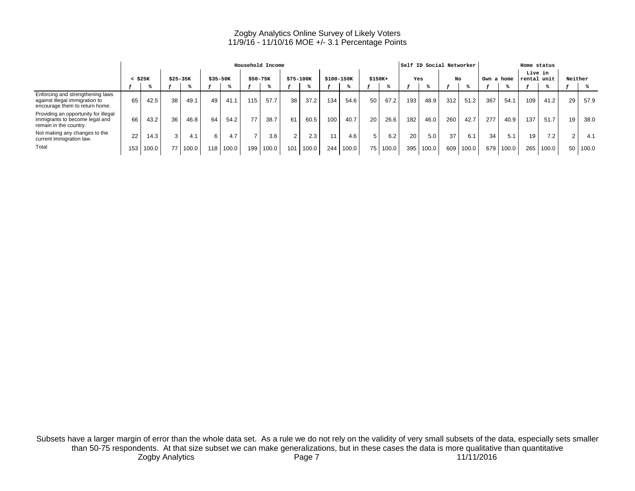|                                                                                                      |     |              |                 |       |             |       |     | Household Income |           |                  |            |       |          |       |     | Self ID Social Networker |     |       |            |       | Home status       |       |         |       |
|------------------------------------------------------------------------------------------------------|-----|--------------|-----------------|-------|-------------|-------|-----|------------------|-----------|------------------|------------|-------|----------|-------|-----|--------------------------|-----|-------|------------|-------|-------------------|-------|---------|-------|
|                                                                                                      |     | $<$ \$25 $K$ | $$25-35K$       |       | $$35 - 50K$ |       |     | $$50-75K$        | \$75-100K |                  | \$100-150K |       | $$150K+$ |       | Yes |                          | No  |       | Own a home |       | Live in<br>rental | unit  | Neither |       |
|                                                                                                      |     |              |                 |       |             |       |     |                  |           |                  |            |       |          |       |     |                          |     |       |            |       |                   |       |         |       |
| Enforcing and strengthening laws<br>against illegal immigration to<br>encourage them to return home. | 65  | 42.5         | 38 <sub>1</sub> | 49.1  | 49          | 41.1  | 115 | 57.7             | 38        | 37.2             | 134        | 54.6  | 50       | 67.2  | 193 | 48.9                     | 312 | 51.2  | 367        | 54.1  | 109               | 41.2  | 29      | 57.9  |
| Providing an opportunity for illegal<br>immigrants to become legal and<br>remain in the country.     | 66  | 43.2         | 36 <sub>1</sub> | 46.8  | 64          | 54.2  | 77  | 38.7             | 61        | 60.5             | 100        | 40.7  | 20       | 26.6  | 182 | 46.0                     | 260 | 42.7  | 277        | 40.9  | 137               | 51.7  | 19      | 38.0  |
| Not making any changes to the<br>current immigration law.                                            | 22  | 14.3         | 3 <sub>1</sub>  | 4.1   | 6           | 4.7   |     | 3.6              |           | 2.3 <sub>1</sub> |            | 4.6   |          | 6.2   | 20  | 5.0                      | 37  | 6.1   | 34         | 5.1   | 19                | 7.2   | $\sim$  | 4.1   |
| Total                                                                                                | 153 | 100.0        |                 | 100.0 | 118         | 100.0 | 199 | 100.0            | 101       | 100.0            | 244        | 100.0 | 75       | 100.0 | 395 | 100.0                    | 609 | 100.0 | 679        | 100.0 | 265               | 100.0 | 50      | 100.0 |

Subsets have a larger margin of error than the whole data set. As a rule we do not rely on the validity of very small subsets of the data, especially sets smaller than 50-75 respondents. At that size subset we can make generalizations, but in these cases the data is more qualitative than quantitative Zogby Analytics Page 7 11/11/2016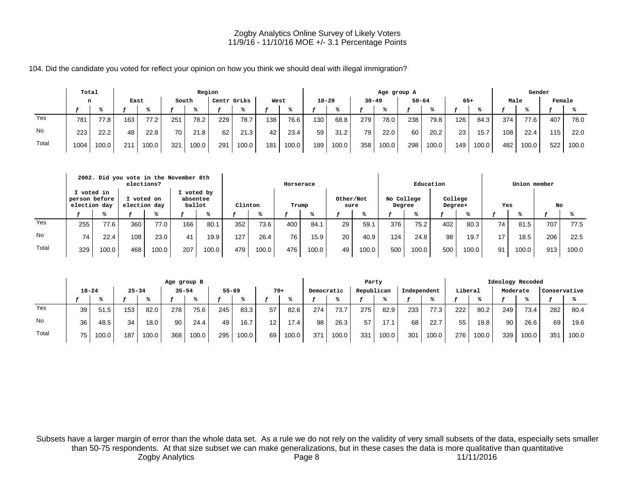104. Did the candidate you voted for reflect your opinion on how you think we should deal with illegal immigration?

|       | Total |       |      |       |       | Region |             |       |      |       |           |       |           | Age group A |           |       |                 |       |      | Gender |        |       |
|-------|-------|-------|------|-------|-------|--------|-------------|-------|------|-------|-----------|-------|-----------|-------------|-----------|-------|-----------------|-------|------|--------|--------|-------|
|       | n     |       | East |       | South |        | Centr GrLks |       | West |       | $18 - 29$ |       | $30 - 49$ |             | $50 - 64$ |       | $65+$           |       | Male |        | Female |       |
|       |       |       |      |       |       |        |             |       |      |       |           |       |           |             |           |       |                 |       |      |        |        |       |
| Yes   | 781   | 77.8  | 163  | 77.2  | 251   | 78.2   | 229         | 78.7  | 138  | 76.6  | 130       | 68.8  | 279       | 78.0        | 238       | 79.8  | 126             | 84.3  | 374  | 77.6   | 407    | 78.0  |
| No.   | 223   | 22.2  | 48   | 22.8  | 70    | 21.8   | 62          | 21.3  | 42   | 23.4  | 59        | 31.2  | 79        | 22.0        | 60        | 20.2  | 23 <sub>1</sub> | 15.7  | 108  | 22.4   | 115    | 22.0  |
| Total | 1004  | 100.0 | 211  | 100.0 | 321   | 100.0  | 291         | 100.0 | 181  | 100.0 | 189       | 100.0 | 358       | 100.0       | 298       | 100.0 | 149             | 100.0 | 482  | 100.0  | 522    | 100.0 |

|       |                                             |       | 2002. Did you vote in the November 8th<br>elections? |       |                                  |       |         |       | Horserace |       |                   |       |                      | Education |                    |       |     | Union member |     |       |
|-------|---------------------------------------------|-------|------------------------------------------------------|-------|----------------------------------|-------|---------|-------|-----------|-------|-------------------|-------|----------------------|-----------|--------------------|-------|-----|--------------|-----|-------|
|       | I voted in<br>person before<br>election day |       | I voted on<br>election day                           |       | I voted by<br>absentee<br>ballot |       | Clinton |       | Trump     |       | Other/Not<br>sure |       | No College<br>Degree |           | College<br>Degree+ |       | Yes |              | No  |       |
|       |                                             |       |                                                      |       |                                  |       |         |       |           |       |                   |       |                      |           |                    |       |     |              |     |       |
| Yes   | 255                                         | 77.6  | 360                                                  | 77.0  | 166                              | 80.1  | 352     | 73.6  | 400       | 84.1  | 29                | 59.1  | 376                  | 75.2      | 402                | 80.3  | 74  | 81.5         | 707 | 77.5  |
| No    | 74                                          | 22.4  | 108                                                  | 23.0  | 41                               | 19.9  | 127     | 26.4  | 76        | 15.9  | 20                | 40.9  | 124                  | 24.8      | 98                 | 19.7  | 17  | 18.5         | 206 | 22.5  |
| Total | 329                                         | 100.0 | 468                                                  | 100.0 | 207                              | 100.0 | 479     | 100.0 | 476       | 100.0 | 49                | 100.0 | 500                  | 100.0     | 500                | 100.0 | 91  | 100.0        | 913 | 100.0 |

|       |           |       |           |       | Age group B |       |           |       |                 |       |            |       | Party      |       |             |       |         |       | Ideology Recoded |       |              |       |
|-------|-----------|-------|-----------|-------|-------------|-------|-----------|-------|-----------------|-------|------------|-------|------------|-------|-------------|-------|---------|-------|------------------|-------|--------------|-------|
|       | $18 - 24$ |       | $25 - 34$ |       | $35 - 54$   |       | $55 - 69$ |       | $70+$           |       | Democratic |       | Republican |       | Independent |       | Liberal |       | Moderate         |       | Conservative |       |
|       |           |       |           |       |             |       |           |       |                 |       |            |       |            |       |             |       |         |       |                  |       |              |       |
| Yes   | 39        | 51.5  | 153       | 82.0  | 278         | 75.6  | 245       | 83.3  | 57              | 82.6  | 274        | 73.7  | 275        | 82.9  | 233         | 77.3  | 222     | 80.2  | 249              | 73.4  | 282          | 80.4  |
| No    | 36        | 48.5  | 34        | 18.0  | 90          | 24.4  | 49        | 16.7  | 12 <sup>2</sup> | 17.4  | 98         | 26.3  | 57         | 17.1  | 68          | 22.7  | 55      | 19.8  | 90               | 26.6  | 69           | 19.6  |
| Total | 75        | 100.0 | 187       | 100.0 | 368         | 100.0 | 295       | 100.0 | 69              | 100.0 | 371        | 100.0 | 331        | 100.0 | 301         | 100.0 | 276     | 100.0 | 339              | 100.0 | 351          | 100.0 |

Subsets have a larger margin of error than the whole data set. As a rule we do not rely on the validity of very small subsets of the data, especially sets smaller than 50-75 respondents. At that size subset we can make generalizations, but in these cases the data is more qualitative than quantitative Zogby Analytics **Page 8** Page 8 11/11/2016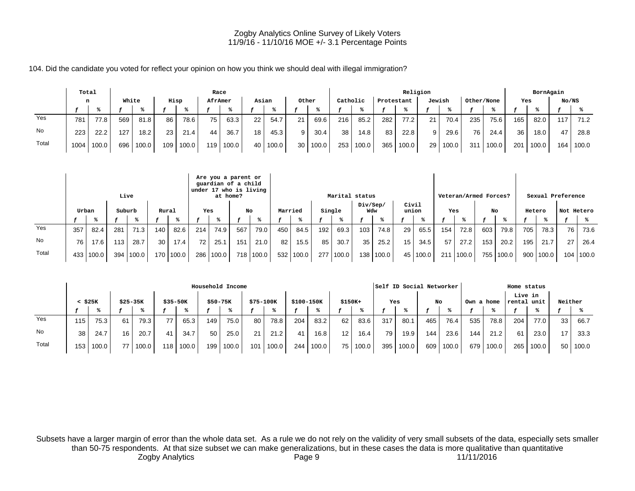104. Did the candidate you voted for reflect your opinion on how you think we should deal with illegal immigration?

|       | Total |       |       |       |      |       | Race    |       |                 |       |                 |       |          |       |            | Religion |        |       |            |       |     | BornAgain |       |       |
|-------|-------|-------|-------|-------|------|-------|---------|-------|-----------------|-------|-----------------|-------|----------|-------|------------|----------|--------|-------|------------|-------|-----|-----------|-------|-------|
|       | n     |       | White |       | Hisp |       | AfrAmer |       | Asian           |       | Other           |       | Catholic |       | Protestant |          | Jewish |       | Other/None |       | Yes |           | No/NS |       |
|       |       |       |       |       |      |       |         |       |                 |       |                 |       |          |       |            |          |        |       |            |       |     |           |       |       |
| Yes   | 781   | 77.8  | 569   | 81.8  | 86   | 78.6  | 75      | 63.3  | 22 <sub>1</sub> | 54.7  | 21              | 69.6  | 216      | 85.2  | 282        | 77.2     | 21     | 70.4  | 235        | 75.6  | 165 | 82.0      | 17    | 71.2  |
| No    | 223   | 22.2  | 127   | 18.2  | 23   | 21.4  | 44      | 36.7  | 18              | 45.3  | 9 <sup>1</sup>  | 30.4  | 38       | 14.8  | 83         | 22.8     |        | 29.6  | 76         | 24.4  | 36  | 18.0      | 47    | 28.8  |
| Total | 1004  | 100.0 | 696   | 100.0 | 109  | 100.0 | 119     | 100.0 | 40 l            | 100.0 | 30 <sub>1</sub> | 100.0 | 253      | 100.0 | 365        | 100.0    | 29     | 100.0 | 311        | 100.0 | 201 | 100.0     | 164   | 100.0 |

|       |       |           |        | Live  |                 |             |     | Are you a parent or<br>guardian of a child<br>under 17 who is living<br>at home? |     |           |         |       |        | Marital status |                 |             |                |       |     | Veteran/Armed Forces? |     |       |        |             | Sexual Preference |           |
|-------|-------|-----------|--------|-------|-----------------|-------------|-----|----------------------------------------------------------------------------------|-----|-----------|---------|-------|--------|----------------|-----------------|-------------|----------------|-------|-----|-----------------------|-----|-------|--------|-------------|-------------------|-----------|
|       | Urban |           | Suburb |       | Rural           |             | Yes |                                                                                  | No  |           | Married |       | Single |                | Div/Sep/<br>Wdw |             | Civil<br>union |       | Yes |                       | No  |       | Hetero |             | Not Hetero        |           |
|       |       |           |        |       |                 |             |     |                                                                                  |     |           |         |       |        |                |                 |             |                |       |     |                       |     |       |        |             |                   |           |
| Yes   | 357   | 82.4      | 281    | 71.3  | 140             | 82.6        | 214 | 74.9                                                                             | 567 | 79.0      | 450     | 84.5  | 192    | 69.3           | 103             | 74.8        | 29             | 65.5  | 154 | 72.8                  | 603 | 79.8  | 705    | 78.3        | 76                | 73.6      |
| No    | 76    | 17.6      | 113    | 28.7  | 30 <sup>1</sup> | 17.4        | 72  | 25.1                                                                             | 151 | 21.0      | 82      | 15.5  | 85     | 30.7           | 35              | 25.2        | 15             | 34.5  | 57  | 27.2                  | 153 | 20.2  | 1951   | 21.7        | 27                | 26.4      |
| Total |       | 433 100.0 | 394    | 100.0 |                 | 170   100.0 | 286 | 100.0                                                                            |     | 718 100.0 | 532     | 100.0 |        | 277   100.0    |                 | 138   100.0 | 45             | 100.0 | 211 | 100.0                 | 755 | 100.0 |        | 900   100.0 |                   | 104 100.0 |

|       |              |       |                 |       |           |       |                 | Household Income |           |       |            |       |                 |       |     | Self ID Social Networker |     |       |            |       | Home status            |       |         |            |
|-------|--------------|-------|-----------------|-------|-----------|-------|-----------------|------------------|-----------|-------|------------|-------|-----------------|-------|-----|--------------------------|-----|-------|------------|-------|------------------------|-------|---------|------------|
|       | $<$ \$25 $K$ |       | $$25 - 35K$     |       | $$35-50K$ |       | \$50-75K        |                  | \$75-100K |       | \$100-150K |       | $$150K+$        |       | Yes |                          | No  |       | Own a home |       | Live in<br>rental unit |       | Neither |            |
|       |              |       |                 |       |           |       |                 |                  |           |       |            |       |                 |       |     |                          |     |       |            |       |                        |       |         |            |
| Yes   | 115          | 75.3  | 61              | 79.3  |           | 65.3  | 149             | 75.0             | 80        | 78.8  | 204        | 83.2  | 62              | 83.6  | 317 | 80.1                     | 465 | 76.4  | 535        | 78.8  | 204                    | 77.0  | 33      | 66.7       |
| No    | 38           | 24.7  | 16              | 20.7  | 41        | 34.7  | 50 <sub>1</sub> | 25.0             | 21        | 21.2  |            | 16.8  | 12 <sub>1</sub> | 16.4  | 79  | 19.9                     | 144 | 23.6  | 144        | 21.2  | 61                     | 23.0  | 17      | 33.3       |
| Total | 153          | 100.0 | 77 <sub>1</sub> | 100.0 | 18        | 100.0 | 199             | 100.0            | 101       | 100.0 | 244        | 100.0 | 75.             | 100.0 | 395 | 100.0                    | 609 | 100.0 | 679        | 100.0 | 265                    | 100.0 |         | 50   100.0 |

Subsets have a larger margin of error than the whole data set. As a rule we do not rely on the validity of very small subsets of the data, especially sets smaller than 50-75 respondents. At that size subset we can make generalizations, but in these cases the data is more qualitative than quantitative Zogby Analytics **Example 2** Page 9 2 200 11/11/2016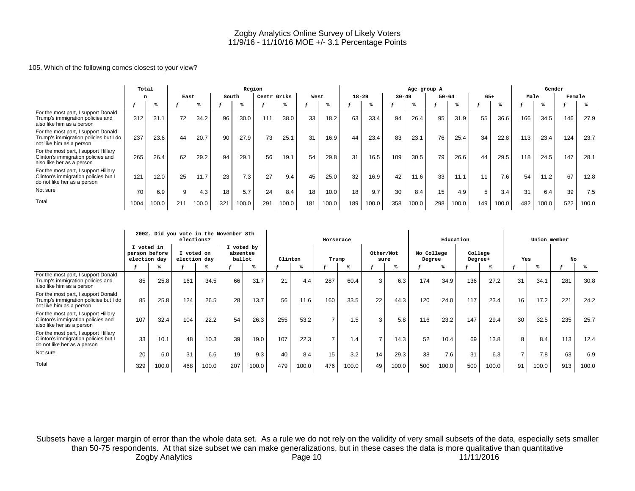#### 105. Which of the following comes closest to your view?

|                                                                                                             | Total |       |      |       |       | Region |             |       |      |       |           |       |           | Age group A |           |       |       |       |      | Gender |        |       |
|-------------------------------------------------------------------------------------------------------------|-------|-------|------|-------|-------|--------|-------------|-------|------|-------|-----------|-------|-----------|-------------|-----------|-------|-------|-------|------|--------|--------|-------|
|                                                                                                             |       |       | East |       | South |        | Centr GrLks |       | West |       | $18 - 29$ |       | $30 - 49$ |             | $50 - 64$ |       | $65+$ |       | Male |        | Female |       |
|                                                                                                             |       |       |      |       |       |        |             |       |      |       |           |       |           |             |           |       |       |       |      |        |        |       |
| For the most part, I support Donald<br>Trump's immigration policies and<br>also like him as a person        | 312   | 31.1  | 72   | 34.2  | 96    | 30.0   | 111         | 38.0  | 33   | 18.2  | 63        | 33.4  | 94        | 26.4        | 95        | 31.9  | 55    | 36.6  | 166  | 34.5   | 146    | 27.9  |
| For the most part, I support Donald<br>Trump's immigration policies but I do<br>not like him as a person    | 237   | 23.6  | 44   | 20.7  | 90    | 27.9   | 73          | 25.1  | 31   | 16.9  | 44        | 23.4  | 83        | 23.1        | 76        | 25.4  | 34    | 22.8  | 113  | 23.4   | 124    | 23.7  |
| For the most part, I support Hillary<br>Clinton's immigration policies and<br>also like her as a person     | 265   | 26.4  | 62   | 29.2  | 94    | 29.1   | 56          | 19.1  | 54   | 29.8  | 31        | 16.5  | 109       | 30.5        | 79        | 26.6  | 44    | 29.5  | 118  | 24.5   | 147    | 28.1  |
| For the most part, I support Hillary<br>Clinton's immigration policies but I<br>do not like her as a person | 121   | 12.0  | 25   | 11.7  | 23    | 7.3    | 27          | 9.4   | 45   | 25.0  | 32        | 16.9  | 42        | 11.6        | 33        | 11.1  | 11    | 7.6   | 54   | 11.2   | 67     | 12.8  |
| Not sure                                                                                                    | 70    | 6.9   | 9    | 4.3   | 18    | 5.7    | 24          | 8.4   | 18   | 10.0  | 18        | 9.7   | 30        | 8.4         | 15        | 4.9   | 5     | 3.4   | 31   | 6.4    | 39     | 7.5   |
| Total                                                                                                       | 1004  | 100.0 | 211  | 100.0 | 321   | 100.0  | 291         | 100.0 | 181  | 100.0 | 189       | 100.0 | 358       | 100.0       | 298       | 100.0 | 149   | 100.0 | 482  | 100.0  | 522    | 100.0 |

|                                                                                                             |                                             |       | 2002. Did you vote in the November 8th<br>elections? |       |                                  |       |         |       | Horserace |       |                   |       |                      | Education |                    |       |     | Union member |     |       |
|-------------------------------------------------------------------------------------------------------------|---------------------------------------------|-------|------------------------------------------------------|-------|----------------------------------|-------|---------|-------|-----------|-------|-------------------|-------|----------------------|-----------|--------------------|-------|-----|--------------|-----|-------|
|                                                                                                             | I voted in<br>person before<br>election day |       | I voted on<br>election day                           |       | I voted by<br>absentee<br>ballot |       | Clinton |       | Trump     |       | Other/Not<br>sure |       | No College<br>Degree |           | College<br>Degree+ |       | Yes |              | No  |       |
|                                                                                                             |                                             |       |                                                      |       |                                  |       |         |       |           |       |                   |       |                      |           |                    |       |     |              |     |       |
| For the most part, I support Donald<br>Trump's immigration policies and<br>also like him as a person        | 85                                          | 25.8  | 161                                                  | 34.5  | 66                               | 31.7  | 21      | 4.4   | 287       | 60.4  | 3                 | 6.3   | 174                  | 34.9      | 136                | 27.2  | 31  | 34.1         | 281 | 30.8  |
| For the most part, I support Donald<br>Trump's immigration policies but I do<br>not like him as a person    | 85                                          | 25.8  | 124                                                  | 26.5  | 28                               | 13.7  | 56      | 11.6  | 160       | 33.5  | 22                | 44.3  | 120                  | 24.0      | 117                | 23.4  | 16  | 17.2         | 221 | 24.2  |
| For the most part, I support Hillary<br>Clinton's immigration policies and<br>also like her as a person     | 107                                         | 32.4  | 104                                                  | 22.2  | 54                               | 26.3  | 255     | 53.2  |           | 1.5:  | 3                 | 5.8   | 116                  | 23.2      | 147                | 29.4  | 30  | 32.5         | 235 | 25.7  |
| For the most part, I support Hillary<br>Clinton's immigration policies but I<br>do not like her as a person | 33                                          | 10.1  | 48                                                   | 10.3  | 39                               | 19.0  | 107     | 22.3  |           | 1.4   | $\overline{ }$    | 14.3  | 52                   | 10.4      | 69                 | 13.8  | 8   | 8.4          | 113 | 12.4  |
| Not sure                                                                                                    | 20                                          | 6.0   | 31                                                   | 6.6   | 19                               | 9.3   | 40      | 8.4   | 15        | 3.2   | 14                | 29.3  | 38                   | 7.6       | 31                 | 6.3   |     | 7.8          | 63  | 6.9   |
| Total                                                                                                       | 329                                         | 100.0 | 468                                                  | 100.0 | 207                              | 100.0 | 479     | 100.0 | 476       | 100.0 | 49                | 100.0 | 500                  | 100.0     | 500                | 100.0 | 91  | 100.0        | 913 | 100.0 |

Subsets have a larger margin of error than the whole data set. As a rule we do not rely on the validity of very small subsets of the data, especially sets smaller than 50-75 respondents. At that size subset we can make generalizations, but in these cases the data is more qualitative than quantitative Zogby Analytics **Page 10** Page 10 11/11/2016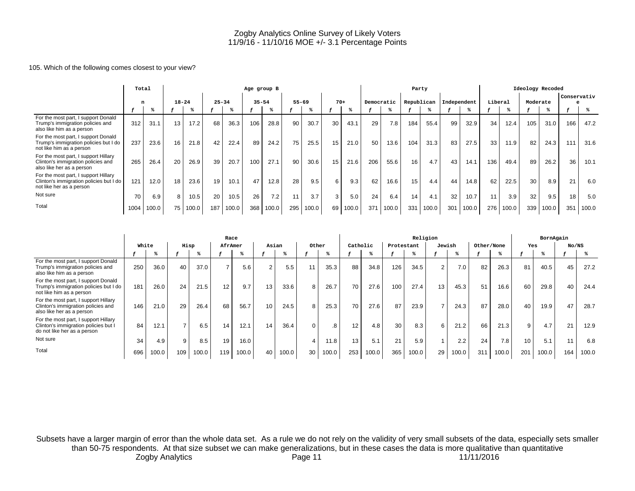# 105. Which of the following comes closest to your view?

|                                                                                                             | Total |       |           |       | Age group B |       |     |           |           |       |                 |       |            |       |     | Party      |             |       |                 |       | Ideology Recoded |       |             |       |
|-------------------------------------------------------------------------------------------------------------|-------|-------|-----------|-------|-------------|-------|-----|-----------|-----------|-------|-----------------|-------|------------|-------|-----|------------|-------------|-------|-----------------|-------|------------------|-------|-------------|-------|
|                                                                                                             | n     |       | $18 - 24$ |       | $25 - 34$   |       |     | $35 - 54$ | $55 - 69$ |       | $70+$           |       | Democratic |       |     | Republican | Independent |       | Liberal         |       | Moderate         |       | Conservativ |       |
|                                                                                                             |       |       |           |       |             |       |     |           |           |       |                 |       |            |       |     |            |             |       |                 |       |                  |       |             |       |
| For the most part, I support Donald<br>Trump's immigration policies and<br>also like him as a person        | 312   | 31.1  | 13        | 17.2  | 68          | 36.3  | 106 | 28.8      | 90        | 30.7  | 30              | 43.1  | 29         | 7.8   | 184 | 55.4       | 99          | 32.9  | 34              | 12.4  | 105              | 31.0  | 166         | 47.2  |
| For the most part, I support Donald<br>Trump's immigration policies but I do<br>not like him as a person    | 237   | 23.6  | 16        | 21.8  | 42          | 22.4  | 89  | 24.2      | 75        | 25.5  | 15              | 21.0  | 50         | 13.6  | 104 | 31.3       | 83          | 27.5  | 33 <sub>1</sub> | 11.9  | 82               | 24.3  | 111         | 31.6  |
| For the most part, I support Hillary<br>Clinton's immigration policies and<br>also like her as a person     | 265   | 26.4  | 20        | 26.9  | 39          | 20.7  | 100 | 27.1      | 90        | 30.6  | 15 <sub>1</sub> | 21.6  | 206        | 55.6  | 16  | 4.7        | 43          | 14.1  | 136             | 49.4  | 89               | 26.2  | 36          | 10.1  |
| For the most part, I support Hillary<br>Clinton's immigration policies but I do<br>not like her as a person | 121   | 12.0  | 18        | 23.6  | 19          | 10.1  | 47  | 12.8      | 28        | 9.5   | 6               | 9.3   | 62         | 16.6  | 15  | 4.4        | 44          | 14.8  | 62              | 22.5  | 30               | 8.9   | 21          | 6.0   |
| Not sure                                                                                                    | 70    | 6.9   | 8         | 10.5  | 20          | 10.5  | 26  | 7.2       | 11        | 3.7   | 3               | 5.0   | 24         | 6.4   | 14  | 4.1        | 32          | 10.7  | 11              | 3.9   | 32               | 9.5   | 18          | 5.0   |
| Total                                                                                                       | 1004  | 100.0 | 75 l      | 100.0 | 187         | 100.0 | 368 | 100.0     | 295       | 100.0 | 69              | 100.0 | 371        | 100.0 | 331 | 100.0      | 301         | 100.0 | 276             | 100.0 | 339              | 100.0 | 351         | 100.0 |

|                                                                                                             |       |       |                |       | Race           |       |                 |       |          |       |          |       |            | Religion |                 |       | BornAgain  |       |              |       |       |       |
|-------------------------------------------------------------------------------------------------------------|-------|-------|----------------|-------|----------------|-------|-----------------|-------|----------|-------|----------|-------|------------|----------|-----------------|-------|------------|-------|--------------|-------|-------|-------|
|                                                                                                             | White |       | Hisp           |       | AfrAmer        |       | Asian           |       | Other    |       | Catholic |       | Protestant |          | Jewish          |       | Other/None |       | Yes          |       | No/NS |       |
|                                                                                                             |       | ℁     |                |       |                | ℁     |                 | ℁     |          |       |          |       |            |          |                 |       |            |       |              |       |       |       |
| For the most part, I support Donald<br>Trump's immigration policies and<br>also like him as a person        | 250   | 36.0  | 40             | 37.0  | $\overline{ }$ | 5.6   | $\overline{2}$  | 5.5   | 11       | 35.3  | 88       | 34.8  | 126        | 34.5     | $\overline{2}$  | 7.0   | 82         | 26.3  | 81           | 40.5  | 45    | 27.2  |
| For the most part, I support Donald<br>Trump's immigration policies but I do<br>not like him as a person    | 181   | 26.0  | 24             | 21.5  | 12             | 9.7   | 13              | 33.6  | 8        | 26.7  | 70       | 27.6  | 100        | 27.4     | 13 <sub>1</sub> | 45.3  | 51         | 16.6  | 60           | 29.8  | 40    | 24.4  |
| For the most part, I support Hillary<br>Clinton's immigration policies and<br>also like her as a person     | 146   | 21.0  | 29             | 26.4  | 68             | 56.7  | 10 <sup>°</sup> | 24.5  | 8        | 25.3  | 70       | 27.6  | 87         | 23.9     |                 | 24.3  | 87         | 28.0  | 40           | 19.9  | 47    | 28.7  |
| For the most part, I support Hillary<br>Clinton's immigration policies but I<br>do not like her as a person | 84    | 12.1  | $\overline{ }$ | 6.5   | 14             | 12.1  | 14              | 36.4  | $\Omega$ | 8.    | 12.      | 4.8   | 30         | 8.3      | 6               | 21.2  | 66         | 21.3  | $\mathbf{Q}$ | 4.7   | 21    | 12.9  |
| Not sure                                                                                                    | 34    | 4.9   | 9              | 8.5   | 19             | 16.0  |                 |       |          | 11.8  | 13.      | 5.1   | 21         | 5.9      |                 | 2.2   | 24         | 7.8   | 10           | 5.1   |       | 6.8   |
| Total                                                                                                       | 696   | 100.0 | 109            | 100.0 | 119            | 100.0 | 40              | 100.0 | 30       | 100.0 | 253      | 100.0 | 365        | 100.0    | 29              | 100.0 | 311        | 100.0 | 201          | 100.0 | 164   | 100.0 |

Subsets have a larger margin of error than the whole data set. As a rule we do not rely on the validity of very small subsets of the data, especially sets smaller than 50-75 respondents. At that size subset we can make generalizations, but in these cases the data is more qualitative than quantitative Zogby Analytics **Page 11** Page 11 11/11/2016